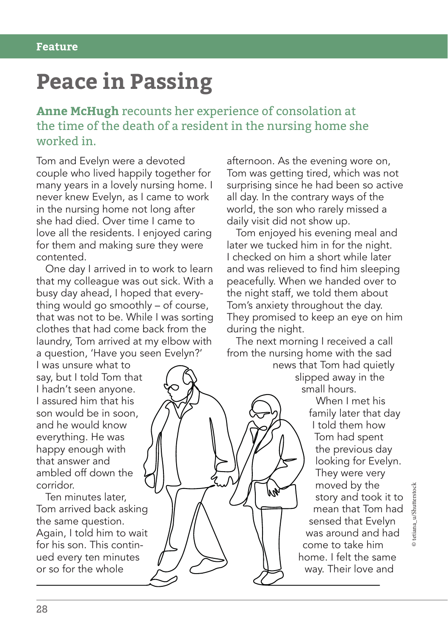## **Peace in Passing**

**Anne McHugh** recounts her experience of consolation at the time of the death of a resident in the nursing home she worked in.

Tom and Evelyn were a devoted couple who lived happily together for many years in a lovely nursing home. I never knew Evelyn, as I came to work in the nursing home not long after she had died. Over time I came to love all the residents. I enjoyed caring for them and making sure they were contented.

One day I arrived in to work to learn that my colleague was out sick. With a busy day ahead, I hoped that everything would go smoothly – of course, that was not to be. While I was sorting clothes that had come back from the laundry, Tom arrived at my elbow with a question, 'Have you seen Evelyn?'

I was unsure what to say, but I told Tom that I hadn't seen anyone. I assured him that his son would be in soon, and he would know everything. He was happy enough with that answer and ambled off down the corridor.

Ten minutes later, Tom arrived back asking the same question. Again, I told him to wait for his son. This continued every ten minutes or so for the whole

afternoon. As the evening wore on, Tom was getting tired, which was not surprising since he had been so active all day. In the contrary ways of the world, the son who rarely missed a daily visit did not show up.

Tom enjoyed his evening meal and later we tucked him in for the night. I checked on him a short while later and was relieved to find him sleeping peacefully. When we handed over to the night staff, we told them about Tom's anxiety throughout the day. They promised to keep an eye on him during the night.

The next morning I received a call from the nursing home with the sad

news that Tom had quietly slipped away in the small hours.

When I met his family later that day I told them how Tom had spent the previous day looking for Evelyn. They were very moved by the story and took it to mean that Tom had sensed that Evelyn was around and had come to take him home. I felt the same way. Their love and